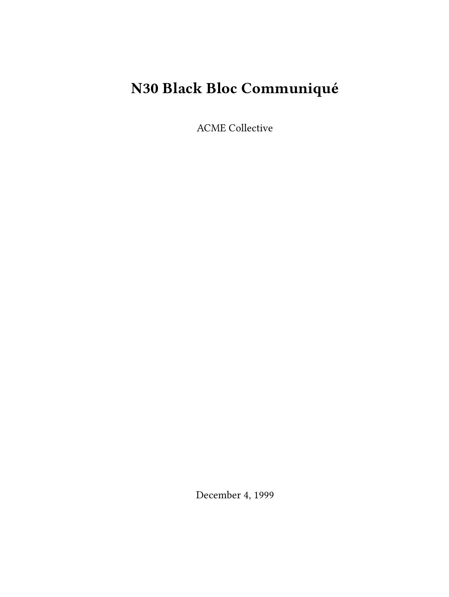# **N30 Black Bloc Communiqué**

ACME Collective

December 4, 1999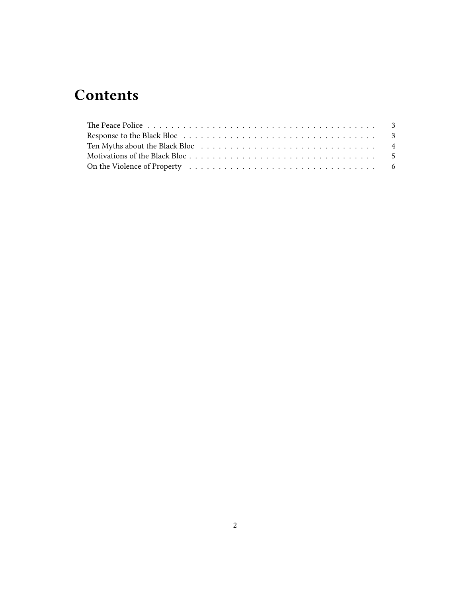## **Contents**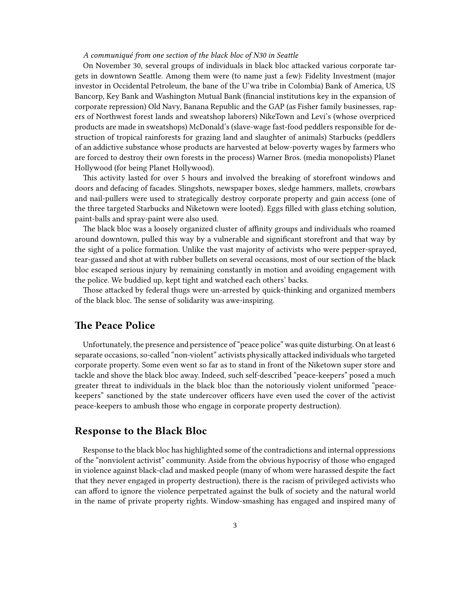#### *A communiqué from one section of the black bloc of N30 in Seattle*

On November 30, several groups of individuals in black bloc attacked various corporate targets in downtown Seattle. Among them were (to name just a few): Fidelity Investment (major investor in Occidental Petroleum, the bane of the U'wa tribe in Colombia) Bank of America, US Bancorp, Key Bank and Washington Mutual Bank (financial institutions key in the expansion of corporate repression) Old Navy, Banana Republic and the GAP (as Fisher family businesses, rapers of Northwest forest lands and sweatshop laborers) NikeTown and Levi's (whose overpriced products are made in sweatshops) McDonald's (slave-wage fast-food peddlers responsible for destruction of tropical rainforests for grazing land and slaughter of animals) Starbucks (peddlers of an addictive substance whose products are harvested at below-poverty wages by farmers who are forced to destroy their own forests in the process) Warner Bros. (media monopolists) Planet Hollywood (for being Planet Hollywood).

This activity lasted for over 5 hours and involved the breaking of storefront windows and doors and defacing of facades. Slingshots, newspaper boxes, sledge hammers, mallets, crowbars and nail-pullers were used to strategically destroy corporate property and gain access (one of the three targeted Starbucks and Niketown were looted). Eggs filled with glass etching solution, paint-balls and spray-paint were also used.

The black bloc was a loosely organized cluster of affinity groups and individuals who roamed around downtown, pulled this way by a vulnerable and significant storefront and that way by the sight of a police formation. Unlike the vast majority of activists who were pepper-sprayed, tear-gassed and shot at with rubber bullets on several occasions, most of our section of the black bloc escaped serious injury by remaining constantly in motion and avoiding engagement with the police. We buddied up, kept tight and watched each others' backs.

Those attacked by federal thugs were un-arrested by quick-thinking and organized members of the black bloc. The sense of solidarity was awe-inspiring.

#### <span id="page-2-0"></span>**The Peace Police**

Unfortunately, the presence and persistence of "peace police" was quite disturbing. On at least 6 separate occasions, so-called "non-violent" activists physically attacked individuals who targeted corporate property. Some even went so far as to stand in front of the Niketown super store and tackle and shove the black bloc away. Indeed, such self-described "peace-keepers" posed a much greater threat to individuals in the black bloc than the notoriously violent uniformed "peacekeepers" sanctioned by the state undercover officers have even used the cover of the activist peace-keepers to ambush those who engage in corporate property destruction).

#### <span id="page-2-1"></span>**Response to the Black Bloc**

Response to the black bloc has highlighted some of the contradictions and internal oppressions of the "nonviolent activist" community. Aside from the obvious hypocrisy of those who engaged in violence against black-clad and masked people (many of whom were harassed despite the fact that they never engaged in property destruction), there is the racism of privileged activists who can afford to ignore the violence perpetrated against the bulk of society and the natural world in the name of private property rights. Window-smashing has engaged and inspired many of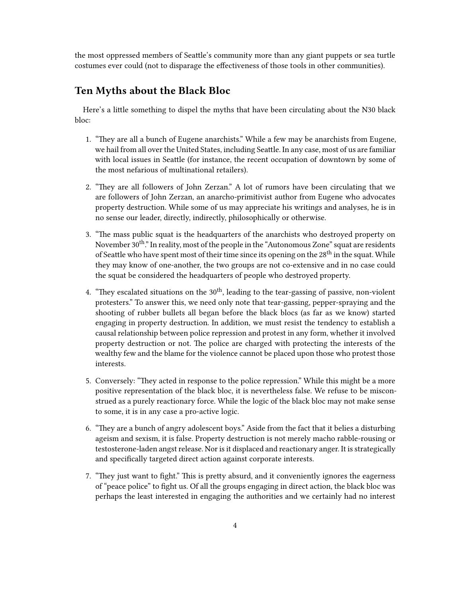the most oppressed members of Seattle's community more than any giant puppets or sea turtle costumes ever could (not to disparage the effectiveness of those tools in other communities).

### <span id="page-3-0"></span>**Ten Myths about the Black Bloc**

Here's a little something to dispel the myths that have been circulating about the N30 black bloc:

- 1. "They are all a bunch of Eugene anarchists." While a few may be anarchists from Eugene, we hail from all over the United States, including Seattle. In any case, most of us are familiar with local issues in Seattle (for instance, the recent occupation of downtown by some of the most nefarious of multinational retailers).
- 2. "They are all followers of John Zerzan." A lot of rumors have been circulating that we are followers of John Zerzan, an anarcho-primitivist author from Eugene who advocates property destruction. While some of us may appreciate his writings and analyses, he is in no sense our leader, directly, indirectly, philosophically or otherwise.
- 3. "The mass public squat is the headquarters of the anarchists who destroyed property on November 30<sup>th</sup>." In reality, most of the people in the "Autonomous Zone" squat are residents of Seattle who have spent most of their time since its opening on the 28<sup>th</sup> in the squat. While they may know of one-another, the two groups are not co-extensive and in no case could the squat be considered the headquarters of people who destroyed property.
- 4. "They escalated situations on the  $30<sup>th</sup>$ , leading to the tear-gassing of passive, non-violent protesters." To answer this, we need only note that tear-gassing, pepper-spraying and the shooting of rubber bullets all began before the black blocs (as far as we know) started engaging in property destruction. In addition, we must resist the tendency to establish a causal relationship between police repression and protest in any form, whether it involved property destruction or not. The police are charged with protecting the interests of the wealthy few and the blame for the violence cannot be placed upon those who protest those interests.
- 5. Conversely: "They acted in response to the police repression." While this might be a more positive representation of the black bloc, it is nevertheless false. We refuse to be misconstrued as a purely reactionary force. While the logic of the black bloc may not make sense to some, it is in any case a pro-active logic.
- 6. "They are a bunch of angry adolescent boys." Aside from the fact that it belies a disturbing ageism and sexism, it is false. Property destruction is not merely macho rabble-rousing or testosterone-laden angst release. Nor is it displaced and reactionary anger. It is strategically and specifically targeted direct action against corporate interests.
- 7. "They just want to fight." This is pretty absurd, and it conveniently ignores the eagerness of "peace police" to fight us. Of all the groups engaging in direct action, the black bloc was perhaps the least interested in engaging the authorities and we certainly had no interest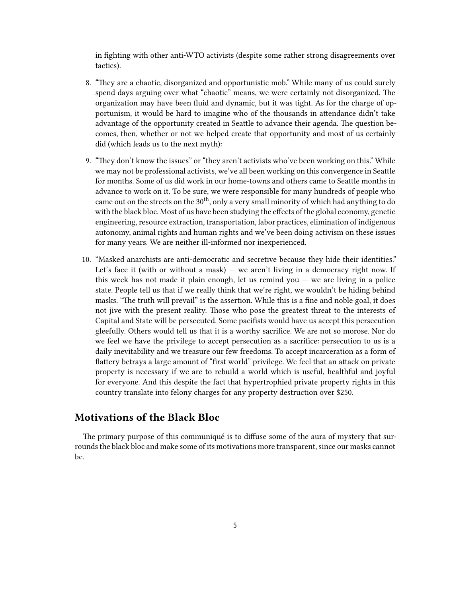in fighting with other anti-WTO activists (despite some rather strong disagreements over tactics).

- 8. "They are a chaotic, disorganized and opportunistic mob." While many of us could surely spend days arguing over what "chaotic" means, we were certainly not disorganized. The organization may have been fluid and dynamic, but it was tight. As for the charge of opportunism, it would be hard to imagine who of the thousands in attendance didn't take advantage of the opportunity created in Seattle to advance their agenda. The question becomes, then, whether or not we helped create that opportunity and most of us certainly did (which leads us to the next myth):
- 9. "They don't know the issues" or "they aren't activists who've been working on this." While we may not be professional activists, we've all been working on this convergence in Seattle for months. Some of us did work in our home-towns and others came to Seattle months in advance to work on it. To be sure, we were responsible for many hundreds of people who came out on the streets on the  $30<sup>th</sup>$ , only a very small minority of which had anything to do with the black bloc. Most of us have been studying the effects of the global economy, genetic engineering, resource extraction, transportation, labor practices, elimination of indigenous autonomy, animal rights and human rights and we've been doing activism on these issues for many years. We are neither ill-informed nor inexperienced.
- 10. "Masked anarchists are anti-democratic and secretive because they hide their identities." Let's face it (with or without a mask) — we aren't living in a democracy right now. If this week has not made it plain enough, let us remind you — we are living in a police state. People tell us that if we really think that we're right, we wouldn't be hiding behind masks. "The truth will prevail" is the assertion. While this is a fine and noble goal, it does not jive with the present reality. Those who pose the greatest threat to the interests of Capital and State will be persecuted. Some pacifists would have us accept this persecution gleefully. Others would tell us that it is a worthy sacrifice. We are not so morose. Nor do we feel we have the privilege to accept persecution as a sacrifice: persecution to us is a daily inevitability and we treasure our few freedoms. To accept incarceration as a form of flattery betrays a large amount of "first world" privilege. We feel that an attack on private property is necessary if we are to rebuild a world which is useful, healthful and joyful for everyone. And this despite the fact that hypertrophied private property rights in this country translate into felony charges for any property destruction over \$250.

#### <span id="page-4-0"></span>**Motivations of the Black Bloc**

The primary purpose of this communiqué is to diffuse some of the aura of mystery that surrounds the black bloc and make some of its motivations more transparent, since our masks cannot be.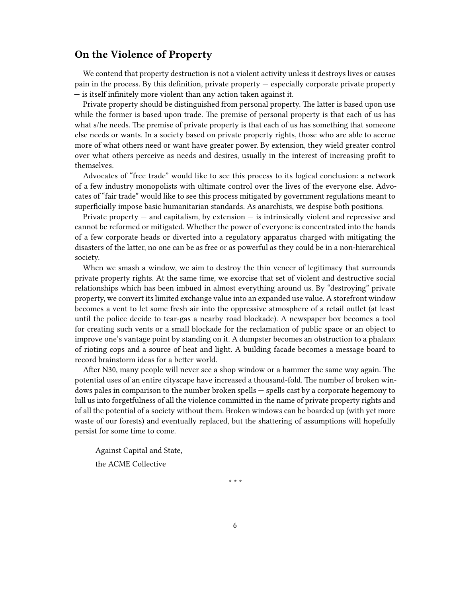#### <span id="page-5-0"></span>**On the Violence of Property**

We contend that property destruction is not a violent activity unless it destroys lives or causes pain in the process. By this definition, private property — especially corporate private property — is itself infinitely more violent than any action taken against it.

Private property should be distinguished from personal property. The latter is based upon use while the former is based upon trade. The premise of personal property is that each of us has what s/he needs. The premise of private property is that each of us has something that someone else needs or wants. In a society based on private property rights, those who are able to accrue more of what others need or want have greater power. By extension, they wield greater control over what others perceive as needs and desires, usually in the interest of increasing profit to themselves.

Advocates of "free trade" would like to see this process to its logical conclusion: a network of a few industry monopolists with ultimate control over the lives of the everyone else. Advocates of "fair trade" would like to see this process mitigated by government regulations meant to superficially impose basic humanitarian standards. As anarchists, we despise both positions.

Private property  $-$  and capitalism, by extension  $-$  is intrinsically violent and repressive and cannot be reformed or mitigated. Whether the power of everyone is concentrated into the hands of a few corporate heads or diverted into a regulatory apparatus charged with mitigating the disasters of the latter, no one can be as free or as powerful as they could be in a non-hierarchical society.

When we smash a window, we aim to destroy the thin veneer of legitimacy that surrounds private property rights. At the same time, we exorcise that set of violent and destructive social relationships which has been imbued in almost everything around us. By "destroying" private property, we convert its limited exchange value into an expanded use value. A storefront window becomes a vent to let some fresh air into the oppressive atmosphere of a retail outlet (at least until the police decide to tear-gas a nearby road blockade). A newspaper box becomes a tool for creating such vents or a small blockade for the reclamation of public space or an object to improve one's vantage point by standing on it. A dumpster becomes an obstruction to a phalanx of rioting cops and a source of heat and light. A building facade becomes a message board to record brainstorm ideas for a better world.

After N30, many people will never see a shop window or a hammer the same way again. The potential uses of an entire cityscape have increased a thousand-fold. The number of broken windows pales in comparison to the number broken spells — spells cast by a corporate hegemony to lull us into forgetfulness of all the violence committed in the name of private property rights and of all the potential of a society without them. Broken windows can be boarded up (with yet more waste of our forests) and eventually replaced, but the shattering of assumptions will hopefully persist for some time to come.

Against Capital and State, the ACME Collective

\* \* \*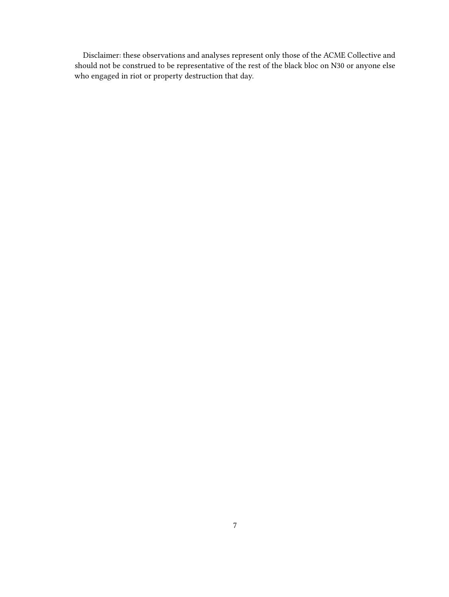Disclaimer: these observations and analyses represent only those of the ACME Collective and should not be construed to be representative of the rest of the black bloc on N30 or anyone else who engaged in riot or property destruction that day.